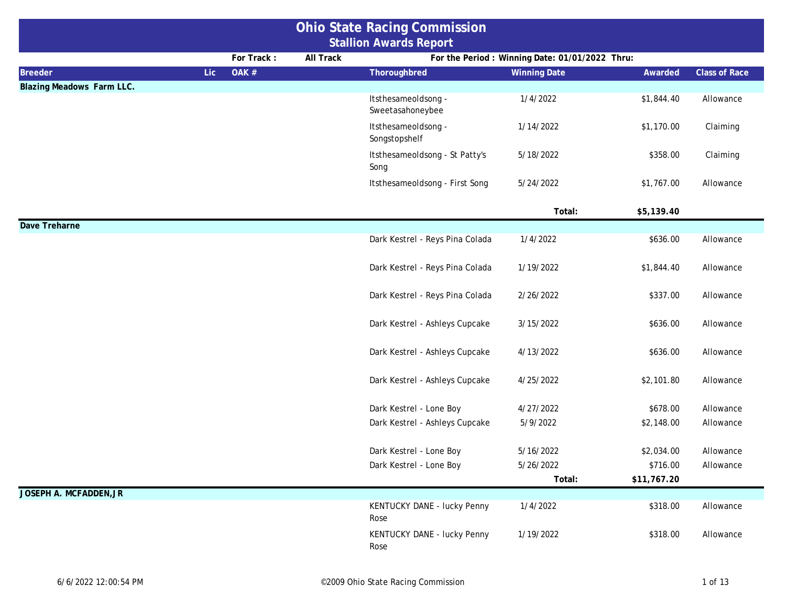|                                  | <b>Ohio State Racing Commission</b> |                  |                                         |                                                 |             |                      |
|----------------------------------|-------------------------------------|------------------|-----------------------------------------|-------------------------------------------------|-------------|----------------------|
|                                  |                                     |                  | <b>Stallion Awards Report</b>           |                                                 |             |                      |
|                                  | For Track:                          | <b>All Track</b> |                                         | For the Period : Winning Date: 01/01/2022 Thru: |             |                      |
| <b>Breeder</b>                   | Lic.<br>OAK #                       |                  | Thoroughbred                            | <b>Winning Date</b>                             | Awarded     | <b>Class of Race</b> |
| <b>Blazing Meadows Farm LLC.</b> |                                     |                  |                                         |                                                 |             |                      |
|                                  |                                     |                  | Itsthesameoldsong -<br>Sweetasahoneybee | 1/4/2022                                        | \$1,844.40  | Allowance            |
|                                  |                                     |                  | Itsthesameoldsong -<br>Songstopshelf    | 1/14/2022                                       | \$1,170.00  | Claiming             |
|                                  |                                     |                  | Itsthesameoldsong - St Patty's<br>Song  | 5/18/2022                                       | \$358.00    | Claiming             |
|                                  |                                     |                  | Itsthesameoldsong - First Song          | 5/24/2022                                       | \$1,767.00  | Allowance            |
|                                  |                                     |                  |                                         | Total:                                          | \$5,139.40  |                      |
| Dave Treharne                    |                                     |                  |                                         |                                                 |             |                      |
|                                  |                                     |                  | Dark Kestrel - Reys Pina Colada         | 1/4/2022                                        | \$636.00    | Allowance            |
|                                  |                                     |                  | Dark Kestrel - Reys Pina Colada         | 1/19/2022                                       | \$1,844.40  | Allowance            |
|                                  |                                     |                  | Dark Kestrel - Reys Pina Colada         | 2/26/2022                                       | \$337.00    | Allowance            |
|                                  |                                     |                  | Dark Kestrel - Ashleys Cupcake          | 3/15/2022                                       | \$636.00    | Allowance            |
|                                  |                                     |                  | Dark Kestrel - Ashleys Cupcake          | 4/13/2022                                       | \$636.00    | Allowance            |
|                                  |                                     |                  | Dark Kestrel - Ashleys Cupcake          | 4/25/2022                                       | \$2,101.80  | Allowance            |
|                                  |                                     |                  | Dark Kestrel - Lone Boy                 | 4/27/2022                                       | \$678.00    | Allowance            |
|                                  |                                     |                  | Dark Kestrel - Ashleys Cupcake          | 5/9/2022                                        | \$2,148.00  | Allowance            |
|                                  |                                     |                  | Dark Kestrel - Lone Boy                 | 5/16/2022                                       | \$2,034.00  | Allowance            |
|                                  |                                     |                  | Dark Kestrel - Lone Boy                 | 5/26/2022                                       | \$716.00    | Allowance            |
|                                  |                                     |                  |                                         | Total:                                          | \$11,767.20 |                      |
| JOSEPH A. MCFADDEN, JR           |                                     |                  |                                         |                                                 |             |                      |
|                                  |                                     |                  | KENTUCKY DANE - lucky Penny<br>Rose     | 1/4/2022                                        | \$318.00    | Allowance            |
|                                  |                                     |                  | KENTUCKY DANE - lucky Penny<br>Rose     | 1/19/2022                                       | \$318.00    | Allowance            |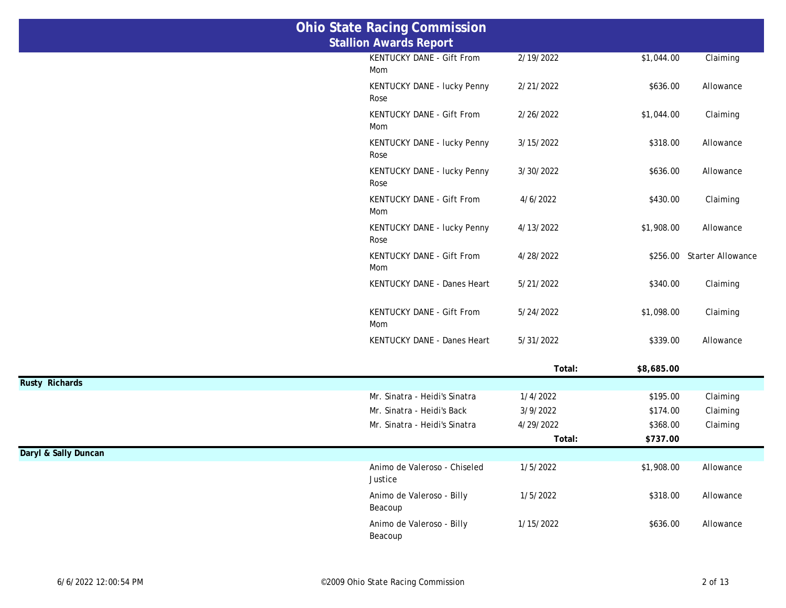|                       | <b>Ohio State Racing Commission</b>     |           |            |                            |
|-----------------------|-----------------------------------------|-----------|------------|----------------------------|
|                       | <b>Stallion Awards Report</b>           |           |            |                            |
|                       | KENTUCKY DANE - Gift From<br>Mom        | 2/19/2022 | \$1,044.00 | Claiming                   |
|                       | KENTUCKY DANE - lucky Penny<br>Rose     | 2/21/2022 | \$636.00   | Allowance                  |
|                       | KENTUCKY DANE - Gift From<br>Mom        | 2/26/2022 | \$1,044.00 | Claiming                   |
|                       | KENTUCKY DANE - lucky Penny<br>Rose     | 3/15/2022 | \$318.00   | Allowance                  |
|                       | KENTUCKY DANE - lucky Penny<br>Rose     | 3/30/2022 | \$636.00   | Allowance                  |
|                       | KENTUCKY DANE - Gift From<br>Mom        | 4/6/2022  | \$430.00   | Claiming                   |
|                       | KENTUCKY DANE - lucky Penny<br>Rose     | 4/13/2022 | \$1,908.00 | Allowance                  |
|                       | KENTUCKY DANE - Gift From<br>Mom        | 4/28/2022 |            | \$256.00 Starter Allowance |
|                       | KENTUCKY DANE - Danes Heart             | 5/21/2022 | \$340.00   | Claiming                   |
|                       | KENTUCKY DANE - Gift From<br>Mom        | 5/24/2022 | \$1,098.00 | Claiming                   |
|                       | KENTUCKY DANE - Danes Heart             | 5/31/2022 | \$339.00   | Allowance                  |
|                       |                                         | Total:    | \$8,685.00 |                            |
| <b>Rusty Richards</b> |                                         |           |            |                            |
|                       | Mr. Sinatra - Heidi's Sinatra           | 1/4/2022  | \$195.00   | Claiming                   |
|                       | Mr. Sinatra - Heidi's Back              | 3/9/2022  | \$174.00   | Claiming                   |
|                       | Mr. Sinatra - Heidi's Sinatra           | 4/29/2022 | \$368.00   | Claiming                   |
|                       |                                         | Total:    | \$737.00   |                            |
| Daryl & Sally Duncan  |                                         |           |            |                            |
|                       | Animo de Valeroso - Chiseled<br>Justice | 1/5/2022  | \$1,908.00 | Allowance                  |
|                       | Animo de Valeroso - Billy<br>Beacoup    | 1/5/2022  | \$318.00   | Allowance                  |
|                       | Animo de Valeroso - Billy<br>Beacoup    | 1/15/2022 | \$636.00   | Allowance                  |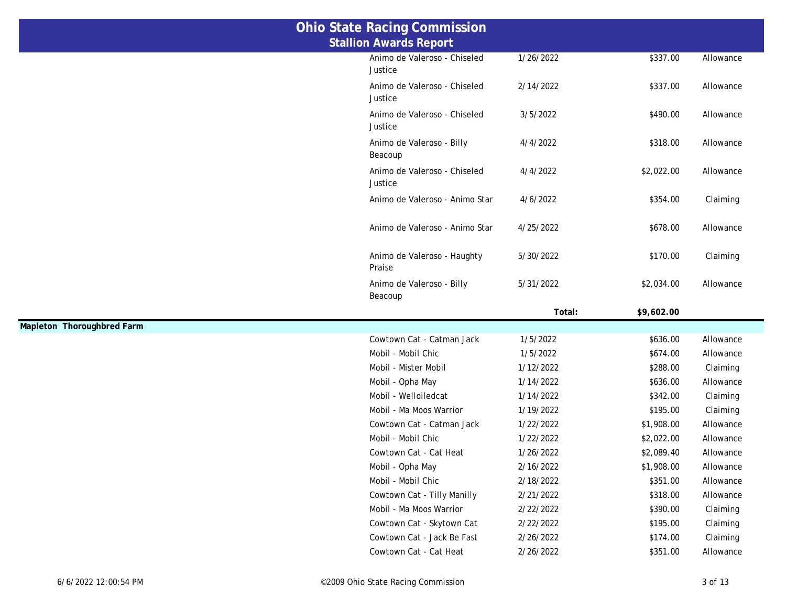|                            | <b>Ohio State Racing Commission</b>     |           |            |           |
|----------------------------|-----------------------------------------|-----------|------------|-----------|
|                            | <b>Stallion Awards Report</b>           |           |            |           |
|                            | Animo de Valeroso - Chiseled<br>Justice | 1/26/2022 | \$337.00   | Allowance |
|                            | Animo de Valeroso - Chiseled<br>Justice | 2/14/2022 | \$337.00   | Allowance |
|                            | Animo de Valeroso - Chiseled<br>Justice | 3/5/2022  | \$490.00   | Allowance |
|                            | Animo de Valeroso - Billy<br>Beacoup    | 4/4/2022  | \$318.00   | Allowance |
|                            | Animo de Valeroso - Chiseled<br>Justice | 4/4/2022  | \$2,022.00 | Allowance |
|                            | Animo de Valeroso - Animo Star          | 4/6/2022  | \$354.00   | Claiming  |
|                            | Animo de Valeroso - Animo Star          | 4/25/2022 | \$678.00   | Allowance |
|                            | Animo de Valeroso - Haughty<br>Praise   | 5/30/2022 | \$170.00   | Claiming  |
|                            | Animo de Valeroso - Billy               | 5/31/2022 | \$2,034.00 | Allowance |
|                            | Beacoup                                 |           |            |           |
|                            |                                         | Total:    | \$9,602.00 |           |
| Mapleton Thoroughbred Farm |                                         |           |            |           |
|                            | Cowtown Cat - Catman Jack               | 1/5/2022  | \$636.00   | Allowance |
|                            | Mobil - Mobil Chic                      | 1/5/2022  | \$674.00   | Allowance |
|                            | Mobil - Mister Mobil                    | 1/12/2022 | \$288.00   | Claiming  |
|                            | Mobil - Opha May                        | 1/14/2022 | \$636.00   | Allowance |
|                            | Mobil - Welloiledcat                    | 1/14/2022 | \$342.00   | Claiming  |
|                            | Mobil - Ma Moos Warrior                 | 1/19/2022 | \$195.00   | Claiming  |
|                            | Cowtown Cat - Catman Jack               | 1/22/2022 | \$1,908.00 | Allowance |
|                            | Mobil - Mobil Chic                      | 1/22/2022 | \$2,022.00 | Allowance |
|                            | Cowtown Cat - Cat Heat                  | 1/26/2022 | \$2,089.40 | Allowance |
|                            | Mobil - Opha May                        | 2/16/2022 | \$1,908.00 | Allowance |
|                            | Mobil - Mobil Chic                      | 2/18/2022 | \$351.00   | Allowance |
|                            | Cowtown Cat - Tilly Manilly             | 2/21/2022 | \$318.00   | Allowance |
|                            | Mobil - Ma Moos Warrior                 | 2/22/2022 | \$390.00   | Claiming  |
|                            | Cowtown Cat - Skytown Cat               | 2/22/2022 | \$195.00   | Claiming  |
|                            | Cowtown Cat - Jack Be Fast              | 2/26/2022 | \$174.00   | Claiming  |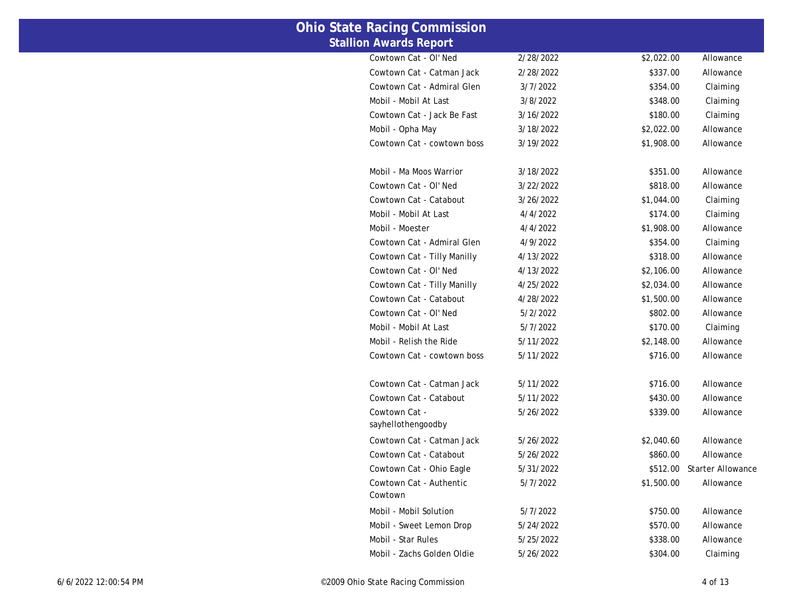| <b>State Racing Commission</b>      |           |            |                          |
|-------------------------------------|-----------|------------|--------------------------|
| <b>Stallion Awards Report</b>       |           |            |                          |
| Cowtown Cat - OI' Ned               | 2/28/2022 | \$2,022.00 | Allowance                |
| Cowtown Cat - Catman Jack           | 2/28/2022 | \$337.00   | Allowance                |
| Cowtown Cat - Admiral Glen          | 3/7/2022  | \$354.00   | Claiming                 |
| Mobil - Mobil At Last               | 3/8/2022  | \$348.00   | Claiming                 |
| Cowtown Cat - Jack Be Fast          | 3/16/2022 | \$180.00   | Claiming                 |
| Mobil - Opha May                    | 3/18/2022 | \$2,022.00 | Allowance                |
| Cowtown Cat - cowtown boss          | 3/19/2022 | \$1,908.00 | Allowance                |
| Mobil - Ma Moos Warrior             | 3/18/2022 | \$351.00   | Allowance                |
| Cowtown Cat - OI' Ned               | 3/22/2022 | \$818.00   | Allowance                |
| Cowtown Cat - Catabout              | 3/26/2022 | \$1,044.00 | Claiming                 |
| Mobil - Mobil At Last               | 4/4/2022  | \$174.00   | Claiming                 |
| Mobil - Moester                     | 4/4/2022  | \$1,908.00 | Allowance                |
| Cowtown Cat - Admiral Glen          | 4/9/2022  | \$354.00   | Claiming                 |
| Cowtown Cat - Tilly Manilly         | 4/13/2022 | \$318.00   | Allowance                |
| Cowtown Cat - OI' Ned               | 4/13/2022 | \$2,106.00 | Allowance                |
| Cowtown Cat - Tilly Manilly         | 4/25/2022 | \$2,034.00 | Allowance                |
| Cowtown Cat - Catabout              | 4/28/2022 | \$1,500.00 | Allowance                |
| Cowtown Cat - OI' Ned               | 5/2/2022  | \$802.00   | Allowance                |
| Mobil - Mobil At Last               | 5/7/2022  | \$170.00   | Claiming                 |
| Mobil - Relish the Ride             | 5/11/2022 | \$2,148.00 | Allowance                |
| Cowtown Cat - cowtown boss          | 5/11/2022 | \$716.00   | Allowance                |
| Cowtown Cat - Catman Jack           | 5/11/2022 | \$716.00   | Allowance                |
| Cowtown Cat - Catabout              | 5/11/2022 | \$430.00   | Allowance                |
| Cowtown Cat -<br>sayhellothengoodby | 5/26/2022 | \$339.00   | Allowance                |
| Cowtown Cat - Catman Jack           | 5/26/2022 | \$2,040.60 | Allowance                |
| Cowtown Cat - Catabout              | 5/26/2022 | \$860.00   | Allowance                |
| Cowtown Cat - Ohio Eagle            | 5/31/2022 | \$512.00   | <b>Starter Allowance</b> |
| Cowtown Cat - Authentic<br>Cowtown  | 5/7/2022  | \$1,500.00 | Allowance                |
| Mobil - Mobil Solution              | 5/7/2022  | \$750.00   | Allowance                |
| Mobil - Sweet Lemon Drop            | 5/24/2022 | \$570.00   | Allowance                |
| Mobil - Star Rules                  | 5/25/2022 | \$338.00   | Allowance                |
| Mobil - Zachs Golden Oldie          | 5/26/2022 | \$304.00   | Claiming                 |

**Ohio**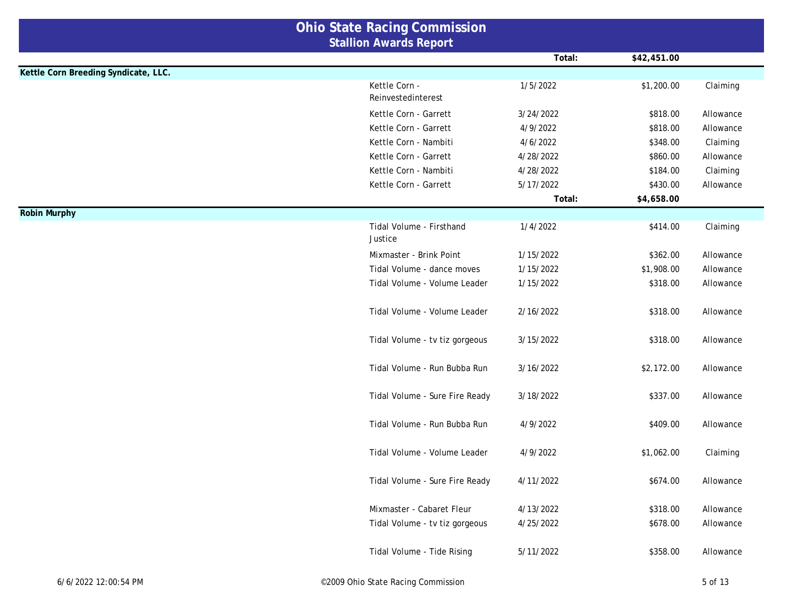|                                      | <b>Ohio State Racing Commission</b>                         |                        |                      |                        |
|--------------------------------------|-------------------------------------------------------------|------------------------|----------------------|------------------------|
|                                      | <b>Stallion Awards Report</b>                               |                        |                      |                        |
|                                      |                                                             | Total:                 | \$42,451.00          |                        |
| Kettle Corn Breeding Syndicate, LLC. |                                                             |                        |                      |                        |
|                                      | Kettle Corn -<br>Reinvestedinterest                         | 1/5/2022               | \$1,200.00           | Claiming               |
|                                      | Kettle Corn - Garrett                                       | 3/24/2022              | \$818.00             | Allowance              |
|                                      | Kettle Corn - Garrett                                       | 4/9/2022               | \$818.00             | Allowance              |
|                                      | Kettle Corn - Nambiti                                       | 4/6/2022               | \$348.00             | Claiming               |
|                                      | Kettle Corn - Garrett                                       | 4/28/2022              | \$860.00             | Allowance              |
|                                      | Kettle Corn - Nambiti                                       | 4/28/2022              | \$184.00             | Claiming               |
|                                      | Kettle Corn - Garrett                                       | 5/17/2022              | \$430.00             | Allowance              |
|                                      |                                                             | Total:                 | \$4,658.00           |                        |
| <b>Robin Murphy</b>                  |                                                             |                        |                      |                        |
|                                      | Tidal Volume - Firsthand<br>Justice                         | 1/4/2022               | \$414.00             | Claiming               |
|                                      | Mixmaster - Brink Point                                     | 1/15/2022              | \$362.00             | Allowance              |
|                                      | Tidal Volume - dance moves                                  | 1/15/2022              | \$1,908.00           | Allowance              |
|                                      | Tidal Volume - Volume Leader                                | 1/15/2022              | \$318.00             | Allowance              |
|                                      | Tidal Volume - Volume Leader                                | 2/16/2022              | \$318.00             | Allowance              |
|                                      | Tidal Volume - tv tiz gorgeous                              | 3/15/2022              | \$318.00             | Allowance              |
|                                      | Tidal Volume - Run Bubba Run                                | 3/16/2022              | \$2,172.00           | Allowance              |
|                                      | Tidal Volume - Sure Fire Ready                              | 3/18/2022              | \$337.00             | Allowance              |
|                                      | Tidal Volume - Run Bubba Run                                | 4/9/2022               | \$409.00             | Allowance              |
|                                      | Tidal Volume - Volume Leader                                | 4/9/2022               | \$1,062.00           | Claiming               |
|                                      | Tidal Volume - Sure Fire Ready                              | 4/11/2022              | \$674.00             | Allowance              |
|                                      | Mixmaster - Cabaret Fleur<br>Tidal Volume - tv tiz gorgeous | 4/13/2022<br>4/25/2022 | \$318.00<br>\$678.00 | Allowance<br>Allowance |
|                                      | Tidal Volume - Tide Rising                                  | 5/11/2022              | \$358.00             | Allowance              |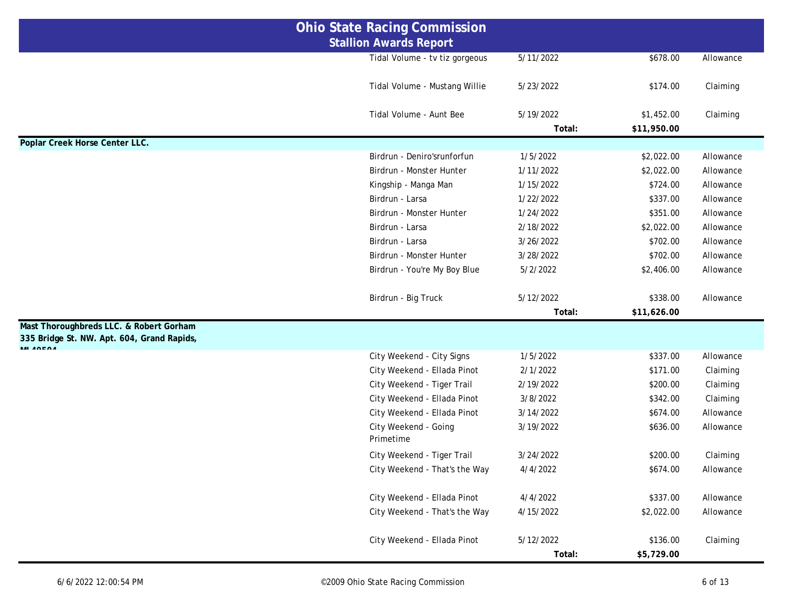| <b>Ohio State Racing Commission</b>                    |                                |           |             |           |
|--------------------------------------------------------|--------------------------------|-----------|-------------|-----------|
|                                                        | <b>Stallion Awards Report</b>  |           |             |           |
|                                                        | Tidal Volume - tv tiz gorgeous | 5/11/2022 | \$678.00    | Allowance |
|                                                        |                                |           |             |           |
|                                                        | Tidal Volume - Mustang Willie  | 5/23/2022 | \$174.00    | Claiming  |
|                                                        |                                |           |             |           |
|                                                        | Tidal Volume - Aunt Bee        | 5/19/2022 | \$1,452.00  | Claiming  |
| Poplar Creek Horse Center LLC.                         |                                | Total:    | \$11,950.00 |           |
|                                                        | Birdrun - Deniro'srunforfun    | 1/5/2022  | \$2,022.00  | Allowance |
|                                                        | Birdrun - Monster Hunter       | 1/11/2022 | \$2,022.00  | Allowance |
|                                                        | Kingship - Manga Man           | 1/15/2022 | \$724.00    | Allowance |
|                                                        | Birdrun - Larsa                | 1/22/2022 | \$337.00    | Allowance |
|                                                        | Birdrun - Monster Hunter       | 1/24/2022 | \$351.00    | Allowance |
|                                                        | Birdrun - Larsa                | 2/18/2022 | \$2,022.00  | Allowance |
|                                                        | Birdrun - Larsa                | 3/26/2022 | \$702.00    | Allowance |
|                                                        | Birdrun - Monster Hunter       | 3/28/2022 | \$702.00    | Allowance |
|                                                        | Birdrun - You're My Boy Blue   | 5/2/2022  | \$2,406.00  | Allowance |
|                                                        |                                |           |             |           |
|                                                        | Birdrun - Big Truck            | 5/12/2022 | \$338.00    | Allowance |
|                                                        |                                | Total:    | \$11,626.00 |           |
| Mast Thoroughbreds LLC. & Robert Gorham                |                                |           |             |           |
| 335 Bridge St. NW. Apt. 604, Grand Rapids,<br>MI AOEOA |                                |           |             |           |
|                                                        | City Weekend - City Signs      | 1/5/2022  | \$337.00    | Allowance |
|                                                        | City Weekend - Ellada Pinot    | 2/1/2022  | \$171.00    | Claiming  |
|                                                        | City Weekend - Tiger Trail     | 2/19/2022 | \$200.00    | Claiming  |
|                                                        | City Weekend - Ellada Pinot    | 3/8/2022  | \$342.00    | Claiming  |
|                                                        | City Weekend - Ellada Pinot    | 3/14/2022 | \$674.00    | Allowance |
|                                                        | City Weekend - Going           | 3/19/2022 | \$636.00    | Allowance |
|                                                        | Primetime                      |           |             |           |
|                                                        | City Weekend - Tiger Trail     | 3/24/2022 | \$200.00    | Claiming  |
|                                                        | City Weekend - That's the Way  | 4/4/2022  | \$674.00    | Allowance |
|                                                        | City Weekend - Ellada Pinot    | 4/4/2022  | \$337.00    | Allowance |
|                                                        | City Weekend - That's the Way  | 4/15/2022 | \$2,022.00  | Allowance |
|                                                        |                                |           |             |           |
|                                                        | City Weekend - Ellada Pinot    | 5/12/2022 | \$136.00    | Claiming  |
|                                                        |                                | Total:    | \$5,729.00  |           |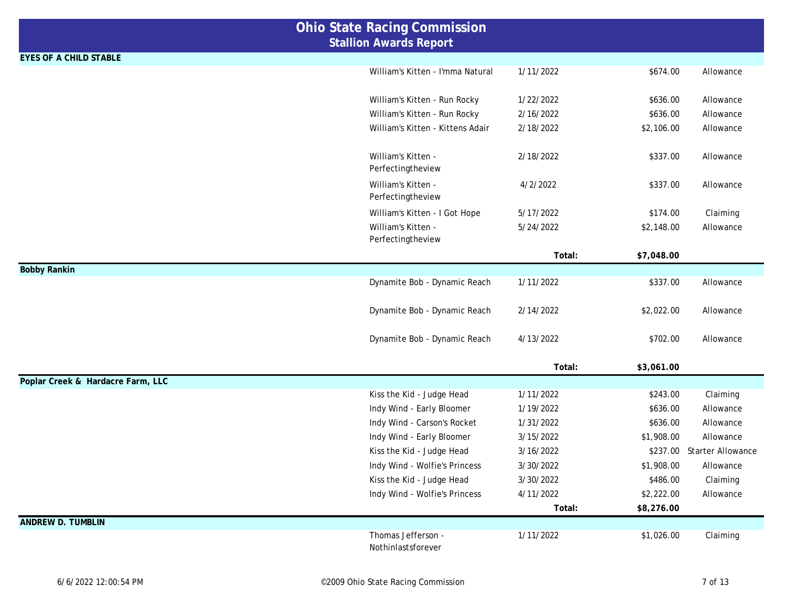|                                   | <b>Ohio State Racing Commission</b> |           |            |                            |
|-----------------------------------|-------------------------------------|-----------|------------|----------------------------|
|                                   | <b>Stallion Awards Report</b>       |           |            |                            |
| <b>EYES OF A CHILD STABLE</b>     |                                     |           |            |                            |
|                                   | William's Kitten - I'mma Natural    | 1/11/2022 | \$674.00   | Allowance                  |
|                                   |                                     |           |            |                            |
|                                   | William's Kitten - Run Rocky        | 1/22/2022 | \$636.00   | Allowance                  |
|                                   | William's Kitten - Run Rocky        | 2/16/2022 | \$636.00   | Allowance                  |
|                                   | William's Kitten - Kittens Adair    | 2/18/2022 | \$2,106.00 | Allowance                  |
|                                   |                                     |           |            |                            |
|                                   | William's Kitten -                  | 2/18/2022 | \$337.00   | Allowance                  |
|                                   | Perfectingtheview                   |           |            |                            |
|                                   | William's Kitten -                  | 4/2/2022  | \$337.00   | Allowance                  |
|                                   | Perfectingtheview                   |           |            |                            |
|                                   | William's Kitten - I Got Hope       | 5/17/2022 | \$174.00   | Claiming                   |
|                                   | William's Kitten -                  | 5/24/2022 | \$2,148.00 | Allowance                  |
|                                   | Perfectingtheview                   |           |            |                            |
|                                   |                                     | Total:    | \$7,048.00 |                            |
| <b>Bobby Rankin</b>               | Dynamite Bob - Dynamic Reach        | 1/11/2022 | \$337.00   | Allowance                  |
|                                   |                                     |           |            |                            |
|                                   | Dynamite Bob - Dynamic Reach        | 2/14/2022 | \$2,022.00 | Allowance                  |
|                                   |                                     |           |            |                            |
|                                   | Dynamite Bob - Dynamic Reach        | 4/13/2022 | \$702.00   | Allowance                  |
|                                   |                                     |           |            |                            |
|                                   |                                     | Total:    | \$3,061.00 |                            |
| Poplar Creek & Hardacre Farm, LLC |                                     |           |            |                            |
|                                   | Kiss the Kid - Judge Head           | 1/11/2022 | \$243.00   | Claiming                   |
|                                   | Indy Wind - Early Bloomer           | 1/19/2022 | \$636.00   | Allowance                  |
|                                   | Indy Wind - Carson's Rocket         | 1/31/2022 | \$636.00   | Allowance                  |
|                                   | Indy Wind - Early Bloomer           | 3/15/2022 | \$1,908.00 | Allowance                  |
|                                   | Kiss the Kid - Judge Head           | 3/16/2022 |            | \$237.00 Starter Allowance |
|                                   | Indy Wind - Wolfie's Princess       | 3/30/2022 | \$1,908.00 | Allowance                  |
|                                   | Kiss the Kid - Judge Head           | 3/30/2022 | \$486.00   | Claiming                   |
|                                   | Indy Wind - Wolfie's Princess       | 4/11/2022 | \$2,222.00 | Allowance                  |
|                                   |                                     | Total:    | \$8,276.00 |                            |
| <b>ANDREW D. TUMBLIN</b>          |                                     |           |            |                            |
|                                   | Thomas Jefferson -                  | 1/11/2022 | \$1,026.00 | Claiming                   |
|                                   | Nothinlastsforever                  |           |            |                            |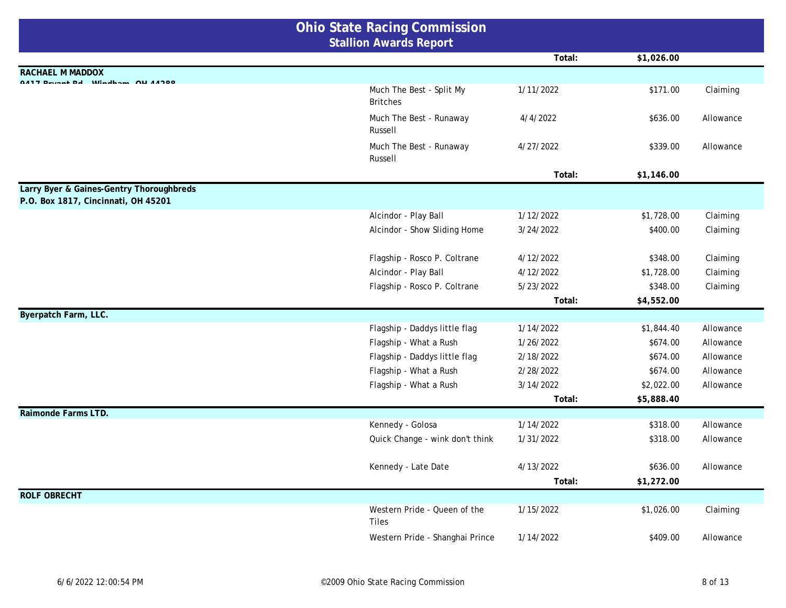| <b>Ohio State Racing Commission</b>                                             |                                             |           |            |           |
|---------------------------------------------------------------------------------|---------------------------------------------|-----------|------------|-----------|
|                                                                                 | <b>Stallion Awards Report</b>               |           |            |           |
|                                                                                 |                                             | Total:    | \$1,026.00 |           |
| <b>RACHAEL M MADDOX</b>                                                         |                                             |           |            |           |
| 0.417 Detect Dal Minalena OIL 44900                                             | Much The Best - Split My<br><b>Britches</b> | 1/11/2022 | \$171.00   | Claiming  |
|                                                                                 | Much The Best - Runaway<br>Russell          | 4/4/2022  | \$636.00   | Allowance |
|                                                                                 | Much The Best - Runaway<br>Russell          | 4/27/2022 | \$339.00   | Allowance |
|                                                                                 |                                             | Total:    | \$1,146.00 |           |
| Larry Byer & Gaines-Gentry Thoroughbreds<br>P.O. Box 1817, Cincinnati, OH 45201 |                                             |           |            |           |
|                                                                                 | Alcindor - Play Ball                        | 1/12/2022 | \$1,728.00 | Claiming  |
|                                                                                 | Alcindor - Show Sliding Home                | 3/24/2022 | \$400.00   | Claiming  |
|                                                                                 | Flagship - Rosco P. Coltrane                | 4/12/2022 | \$348.00   | Claiming  |
|                                                                                 | Alcindor - Play Ball                        | 4/12/2022 | \$1,728.00 | Claiming  |
|                                                                                 | Flagship - Rosco P. Coltrane                | 5/23/2022 | \$348.00   | Claiming  |
|                                                                                 |                                             | Total:    | \$4,552.00 |           |
| Byerpatch Farm, LLC.                                                            |                                             |           |            |           |
|                                                                                 | Flagship - Daddys little flag               | 1/14/2022 | \$1,844.40 | Allowance |
|                                                                                 | Flagship - What a Rush                      | 1/26/2022 | \$674.00   | Allowance |
|                                                                                 | Flagship - Daddys little flag               | 2/18/2022 | \$674.00   | Allowance |
|                                                                                 | Flagship - What a Rush                      | 2/28/2022 | \$674.00   | Allowance |
|                                                                                 | Flagship - What a Rush                      | 3/14/2022 | \$2,022.00 | Allowance |
|                                                                                 |                                             | Total:    | \$5,888.40 |           |
| Raimonde Farms LTD.                                                             |                                             |           |            |           |
|                                                                                 | Kennedy - Golosa                            | 1/14/2022 | \$318.00   | Allowance |
|                                                                                 | Quick Change - wink don't think             | 1/31/2022 | \$318.00   | Allowance |
|                                                                                 | Kennedy - Late Date                         | 4/13/2022 | \$636.00   | Allowance |
|                                                                                 |                                             | Total:    | \$1,272.00 |           |
| <b>ROLF OBRECHT</b>                                                             |                                             |           |            |           |
|                                                                                 | Western Pride - Queen of the<br>Tiles       | 1/15/2022 | \$1,026.00 | Claiming  |
|                                                                                 | Western Pride - Shanghai Prince             | 1/14/2022 | \$409.00   | Allowance |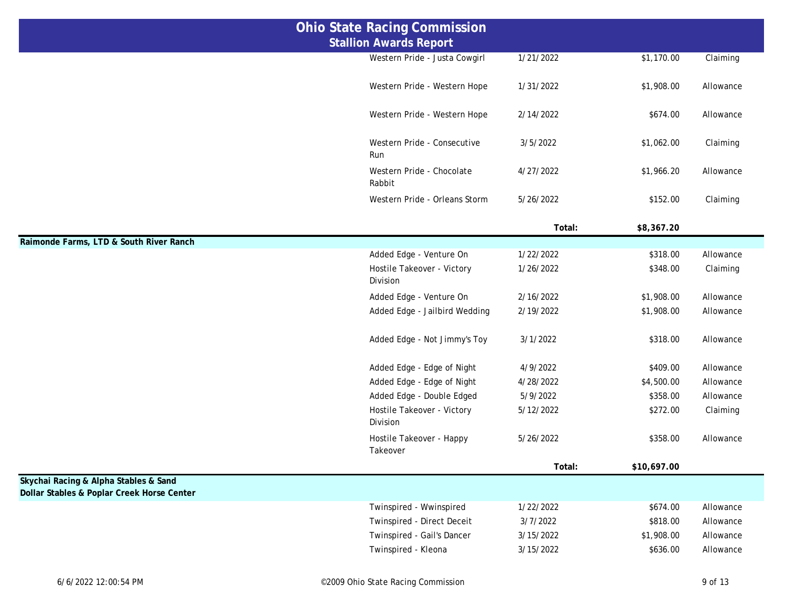| <b>Ohio State Racing Commission</b>                                                 |                                        |           |             |           |
|-------------------------------------------------------------------------------------|----------------------------------------|-----------|-------------|-----------|
|                                                                                     | <b>Stallion Awards Report</b>          |           |             |           |
|                                                                                     | Western Pride - Justa Cowgirl          | 1/21/2022 | \$1,170.00  | Claiming  |
|                                                                                     | Western Pride - Western Hope           | 1/31/2022 | \$1,908.00  | Allowance |
|                                                                                     | Western Pride - Western Hope           | 2/14/2022 | \$674.00    | Allowance |
|                                                                                     | Western Pride - Consecutive<br>Run     | 3/5/2022  | \$1,062.00  | Claiming  |
|                                                                                     | Western Pride - Chocolate<br>Rabbit    | 4/27/2022 | \$1,966.20  | Allowance |
|                                                                                     | Western Pride - Orleans Storm          | 5/26/2022 | \$152.00    | Claiming  |
|                                                                                     |                                        | Total:    | \$8,367.20  |           |
| Raimonde Farms, LTD & South River Ranch                                             |                                        |           |             |           |
|                                                                                     | Added Edge - Venture On                | 1/22/2022 | \$318.00    | Allowance |
|                                                                                     | Hostile Takeover - Victory<br>Division | 1/26/2022 | \$348.00    | Claiming  |
|                                                                                     | Added Edge - Venture On                | 2/16/2022 | \$1,908.00  | Allowance |
|                                                                                     | Added Edge - Jailbird Wedding          | 2/19/2022 | \$1,908.00  | Allowance |
|                                                                                     | Added Edge - Not Jimmy's Toy           | 3/1/2022  | \$318.00    | Allowance |
|                                                                                     | Added Edge - Edge of Night             | 4/9/2022  | \$409.00    | Allowance |
|                                                                                     | Added Edge - Edge of Night             | 4/28/2022 | \$4,500.00  | Allowance |
|                                                                                     | Added Edge - Double Edged              | 5/9/2022  | \$358.00    | Allowance |
|                                                                                     | Hostile Takeover - Victory<br>Division | 5/12/2022 | \$272.00    | Claiming  |
|                                                                                     | Hostile Takeover - Happy<br>Takeover   | 5/26/2022 | \$358.00    | Allowance |
|                                                                                     |                                        | Total:    | \$10,697.00 |           |
| Skychai Racing & Alpha Stables & Sand<br>Dollar Stables & Poplar Creek Horse Center |                                        |           |             |           |
|                                                                                     | Twinspired - Wwinspired                | 1/22/2022 | \$674.00    | Allowance |
|                                                                                     | Twinspired - Direct Deceit             | 3/7/2022  | \$818.00    | Allowance |
|                                                                                     | Twinspired - Gail's Dancer             | 3/15/2022 | \$1,908.00  | Allowance |
|                                                                                     | Twinspired - Kleona                    | 3/15/2022 | \$636.00    | Allowance |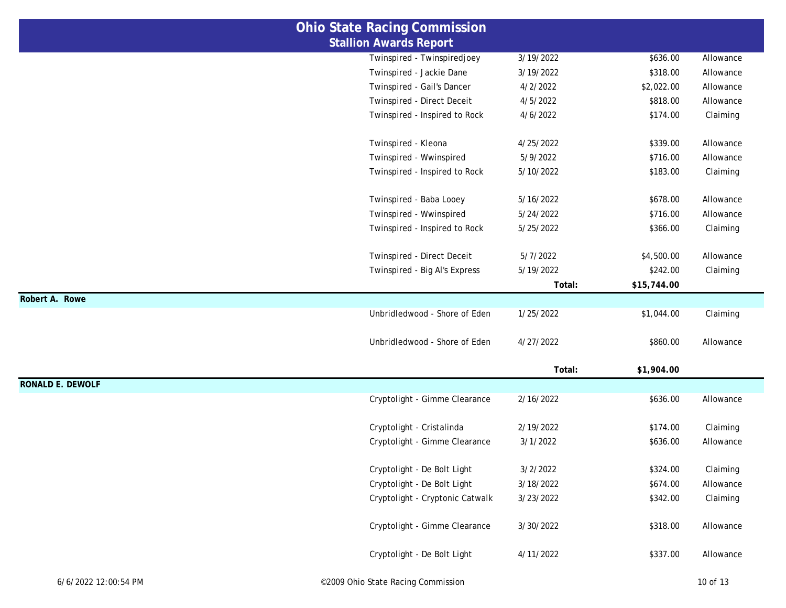|                         | <b>Ohio State Racing Commission</b> |           |             |           |
|-------------------------|-------------------------------------|-----------|-------------|-----------|
|                         | <b>Stallion Awards Report</b>       |           |             |           |
|                         | Twinspired - Twinspiredjoey         | 3/19/2022 | \$636.00    | Allowance |
|                         | Twinspired - Jackie Dane            | 3/19/2022 | \$318.00    | Allowance |
|                         | Twinspired - Gail's Dancer          | 4/2/2022  | \$2,022.00  | Allowance |
|                         | Twinspired - Direct Deceit          | 4/5/2022  | \$818.00    | Allowance |
|                         | Twinspired - Inspired to Rock       | 4/6/2022  | \$174.00    | Claiming  |
|                         | Twinspired - Kleona                 | 4/25/2022 | \$339.00    | Allowance |
|                         | Twinspired - Wwinspired             | 5/9/2022  | \$716.00    | Allowance |
|                         | Twinspired - Inspired to Rock       | 5/10/2022 | \$183.00    | Claiming  |
|                         | Twinspired - Baba Looey             | 5/16/2022 | \$678.00    | Allowance |
|                         | Twinspired - Wwinspired             | 5/24/2022 | \$716.00    | Allowance |
|                         | Twinspired - Inspired to Rock       | 5/25/2022 | \$366.00    | Claiming  |
|                         | Twinspired - Direct Deceit          | 5/7/2022  | \$4,500.00  | Allowance |
|                         | Twinspired - Big Al's Express       | 5/19/2022 | \$242.00    | Claiming  |
|                         |                                     | Total:    | \$15,744.00 |           |
| Robert A. Rowe          |                                     |           |             |           |
|                         | Unbridledwood - Shore of Eden       | 1/25/2022 | \$1,044.00  | Claiming  |
|                         | Unbridledwood - Shore of Eden       | 4/27/2022 | \$860.00    | Allowance |
|                         |                                     | Total:    | \$1,904.00  |           |
| <b>RONALD E. DEWOLF</b> |                                     |           |             |           |
|                         | Cryptolight - Gimme Clearance       | 2/16/2022 | \$636.00    | Allowance |
|                         | Cryptolight - Cristalinda           | 2/19/2022 | \$174.00    | Claiming  |
|                         | Cryptolight - Gimme Clearance       | 3/1/2022  | \$636.00    | Allowance |
|                         | Cryptolight - De Bolt Light         | 3/2/2022  | \$324.00    | Claiming  |
|                         | Cryptolight - De Bolt Light         | 3/18/2022 | \$674.00    | Allowance |
|                         | Cryptolight - Cryptonic Catwalk     | 3/23/2022 | \$342.00    | Claiming  |
|                         | Cryptolight - Gimme Clearance       | 3/30/2022 | \$318.00    | Allowance |
|                         | Cryptolight - De Bolt Light         | 4/11/2022 | \$337.00    | Allowance |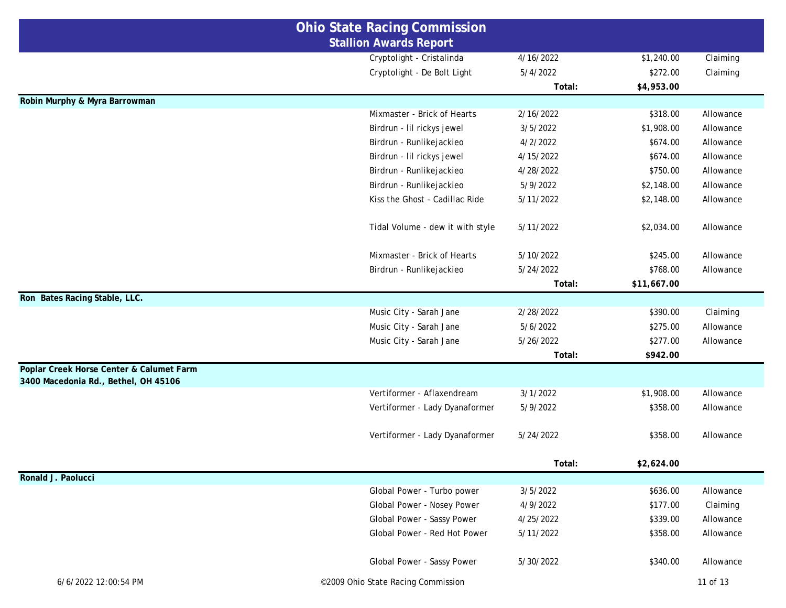|                                                                                  | <b>Ohio State Racing Commission</b> |           |             |           |  |
|----------------------------------------------------------------------------------|-------------------------------------|-----------|-------------|-----------|--|
|                                                                                  | <b>Stallion Awards Report</b>       |           |             |           |  |
|                                                                                  | Cryptolight - Cristalinda           | 4/16/2022 | \$1,240.00  | Claiming  |  |
|                                                                                  | Cryptolight - De Bolt Light         | 5/4/2022  | \$272.00    | Claiming  |  |
|                                                                                  |                                     | Total:    | \$4,953.00  |           |  |
| Robin Murphy & Myra Barrowman                                                    |                                     |           |             |           |  |
|                                                                                  | Mixmaster - Brick of Hearts         | 2/16/2022 | \$318.00    | Allowance |  |
|                                                                                  | Birdrun - Iil rickys jewel          | 3/5/2022  | \$1,908.00  | Allowance |  |
|                                                                                  | Birdrun - Runlikejackieo            | 4/2/2022  | \$674.00    | Allowance |  |
|                                                                                  | Birdrun - Iil rickys jewel          | 4/15/2022 | \$674.00    | Allowance |  |
|                                                                                  | Birdrun - Runlikejackieo            | 4/28/2022 | \$750.00    | Allowance |  |
|                                                                                  | Birdrun - Runlikejackieo            | 5/9/2022  | \$2,148.00  | Allowance |  |
|                                                                                  | Kiss the Ghost - Cadillac Ride      | 5/11/2022 | \$2,148.00  | Allowance |  |
|                                                                                  | Tidal Volume - dew it with style    | 5/11/2022 | \$2,034.00  | Allowance |  |
|                                                                                  | Mixmaster - Brick of Hearts         | 5/10/2022 | \$245.00    | Allowance |  |
|                                                                                  | Birdrun - Runlikejackieo            | 5/24/2022 | \$768.00    | Allowance |  |
|                                                                                  |                                     | Total:    | \$11,667.00 |           |  |
| Ron Bates Racing Stable, LLC.                                                    |                                     |           |             |           |  |
|                                                                                  | Music City - Sarah Jane             | 2/28/2022 | \$390.00    | Claiming  |  |
|                                                                                  | Music City - Sarah Jane             | 5/6/2022  | \$275.00    | Allowance |  |
|                                                                                  | Music City - Sarah Jane             | 5/26/2022 | \$277.00    | Allowance |  |
|                                                                                  |                                     | Total:    | \$942.00    |           |  |
| Poplar Creek Horse Center & Calumet Farm<br>3400 Macedonia Rd., Bethel, OH 45106 |                                     |           |             |           |  |
|                                                                                  | Vertiformer - Aflaxendream          | 3/1/2022  | \$1,908.00  | Allowance |  |
|                                                                                  | Vertiformer - Lady Dyanaformer      | 5/9/2022  | \$358.00    | Allowance |  |
|                                                                                  | Vertiformer - Lady Dyanaformer      | 5/24/2022 | \$358.00    | Allowance |  |
|                                                                                  |                                     | Total:    | \$2,624.00  |           |  |
| Ronald J. Paolucci                                                               |                                     |           |             |           |  |
|                                                                                  | Global Power - Turbo power          | 3/5/2022  | \$636.00    | Allowance |  |
|                                                                                  | Global Power - Nosey Power          | 4/9/2022  | \$177.00    | Claiming  |  |
|                                                                                  | Global Power - Sassy Power          | 4/25/2022 | \$339.00    | Allowance |  |
|                                                                                  | Global Power - Red Hot Power        | 5/11/2022 | \$358.00    | Allowance |  |
|                                                                                  | Global Power - Sassy Power          | 5/30/2022 | \$340.00    | Allowance |  |
| 6/6/2022 12:00:54 PM                                                             | ©2009 Ohio State Racing Commission  |           |             | 11 of 13  |  |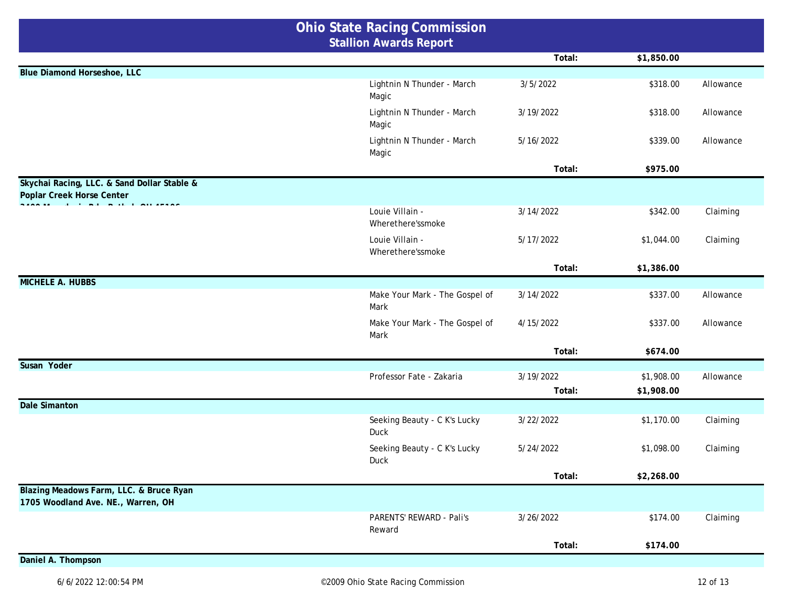|                                                                               | <b>Ohio State Racing Commission</b>    |           |                          |           |
|-------------------------------------------------------------------------------|----------------------------------------|-----------|--------------------------|-----------|
|                                                                               | <b>Stallion Awards Report</b>          |           |                          |           |
|                                                                               |                                        | Total:    | \$1,850.00               |           |
| Blue Diamond Horseshoe, LLC                                                   |                                        | 3/5/2022  | \$318.00                 |           |
|                                                                               | Lightnin N Thunder - March<br>Magic    |           |                          | Allowance |
|                                                                               | Lightnin N Thunder - March<br>Magic    | 3/19/2022 | \$318.00                 | Allowance |
|                                                                               | Lightnin N Thunder - March<br>Magic    | 5/16/2022 | \$339.00                 | Allowance |
|                                                                               |                                        | Total:    | \$975.00                 |           |
| Skychai Racing, LLC. & Sand Dollar Stable &<br>Poplar Creek Horse Center      |                                        |           |                          |           |
| the contract of the contract of the                                           | Louie Villain -<br>Wherethere'ssmoke   | 3/14/2022 | \$342.00                 | Claiming  |
|                                                                               | Louie Villain -<br>Wherethere'ssmoke   | 5/17/2022 | \$1,044.00               | Claiming  |
|                                                                               |                                        | Total:    | \$1,386.00               |           |
| <b>MICHELE A. HUBBS</b>                                                       |                                        |           |                          |           |
|                                                                               | Make Your Mark - The Gospel of<br>Mark | 3/14/2022 | \$337.00                 | Allowance |
|                                                                               | Make Your Mark - The Gospel of<br>Mark | 4/15/2022 | \$337.00                 | Allowance |
|                                                                               |                                        | Total:    | \$674.00                 |           |
| Susan Yoder                                                                   |                                        |           |                          |           |
|                                                                               | Professor Fate - Zakaria               | 3/19/2022 | \$1,908.00<br>\$1,908.00 | Allowance |
| <b>Dale Simanton</b>                                                          |                                        | Total:    |                          |           |
|                                                                               | Seeking Beauty - C K's Lucky<br>Duck   | 3/22/2022 | \$1,170.00               | Claiming  |
|                                                                               | Seeking Beauty - C K's Lucky<br>Duck   | 5/24/2022 | \$1,098.00               | Claiming  |
|                                                                               |                                        | Total:    | \$2,268.00               |           |
| Blazing Meadows Farm, LLC. & Bruce Ryan<br>1705 Woodland Ave. NE., Warren, OH |                                        |           |                          |           |
|                                                                               | PARENTS' REWARD - Pali's<br>Reward     | 3/26/2022 | \$174.00                 | Claiming  |
|                                                                               |                                        | Total:    | \$174.00                 |           |
| Daniel A. Thompson                                                            |                                        |           |                          |           |
|                                                                               |                                        |           |                          |           |